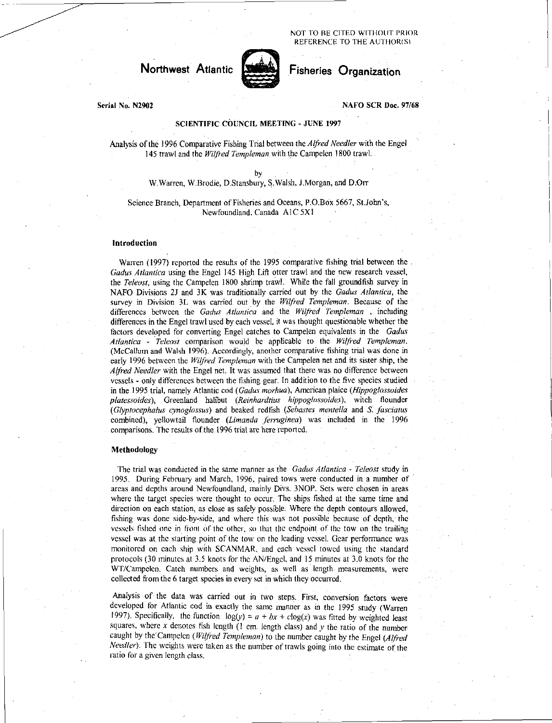NOT TO RE CITED WITHOUT PRIOR REFERENCE TO THE AUTHOR(S)

# Northwest Atlantic **Network** Fisheries Organization



### Serial No. N2902 NAFO SCR Doc. 97/68

## SCIENTIFIC COUNCIL MEETING - JUNE 1997

Analysis of the 1996 Comparative Fishing Trial between the *Alfred Needier* with the Engel 145 trawl and the *Wilfred Templeman ,* with the Campelen 1800 trawl.

> by W.Warren, W.Brodie, D.Stansbury, S.Walsh, J.Morgan, and D.Orr

Science Branch, Department of Fisheries and Oceans, P.O.Box 5667, St.John's, Newfoundland, Canada A1C 5X1

#### Introduction

Warren (1997) reported the results of the 1995 comparative fishing trial between the . *Gadus Atlantica* using the Engel 145 High Lift otter trawl and the new research vessel, the *Teleost*, using the Campelen 1800 shrimp trawl. While the fall groundfish survey in NAFO Divisions 2J and 3K was traditionally carried out by the *Gadus Atlantica,* the survey in Division 3L was carried out by the *Wilfred Templeman.* Because of the differences between the *Gadus Atlantica* and the *Wilfred Templeman ,* . including differences in the Engel trawl used by each vessel, it was thought questionable whether the factors developed for converting Engel catches to Campelen equivalents in the *Cactus Atlantica - Teleost* comparison would be applicable to the *Wilfred Templeman.*  (McCallum and Walsh 1996). Accordingly, another comparative fishing trial was done in early 1996 between the *Wilfred Templeman* with the Campelen net and its sister ship, the *Alfred Needier* with the Engel net. It was assumed that there was no difference between vessels - only differences between the fishing gear. In addition to the five species studied in the 1995 trial, namely Atlantic cod *(Gadus morhua),* American plaice *(Hippoglossoides platessoides),* Greenland halibut *(Reinhardrius hippoglossoides),* witch flounder *(Glyptocephalus cynoglossus)* and beaked redfish *(Sebastes mentella* and *S. fasciatus*  combined), yellowtail flounder *(Limanda ferruginea)* was included in the 1996 comparisons. The results of the 1996 trial are here reported.

#### Methodology

The trial was conducted in the same manner as the *Gadus Atlantica - Teleost* study in 1995. During February and March, 1996, paired tows were conducted in a number of areas and depths around Newfoundland, mainly Divs. 3NOP. Sets were chosen in areas where the target species were thought to occur. The ships fished at the same time and direction on each station, as close as safely possible. Where the depth contours allowed, fishing was done side-by-side, and where this was not possible because of depth, the vessels fished one in front of the other, so that the endpoint of the tow on the trailing vessel was at the starting point of the tow on the leading vessel. Gear performance was monitored on each ship with SCANMAR, and each vessel towed using the standard protocols (30 minutes at 3.5 knots for the AN/Engel, and 15 minutes at 3.0 knots for the WT/Campelen. Catch numbers and weights, as well as length. measurements, were collected from the 6 target species in every set in which they occurred.

Analysis of the data was carried out in two steps. First, conversion factors were developed for Atlantic cod in exactly the same manner as in the 1995 study (Warren 1997). Specifically, the function  $log(y) = a + bx + clog(x)$  was fitted by weighted least squares, where  $x$  denotes fish length (1 cm. length class) and  $y$  the ratio of the number caught by the Campelen *(Wilfred Templeman)* to the number caught by the Engel *(Alfred Needier).* The weights were taken as the number of trawls going into the estimate of the ratio for a given length class.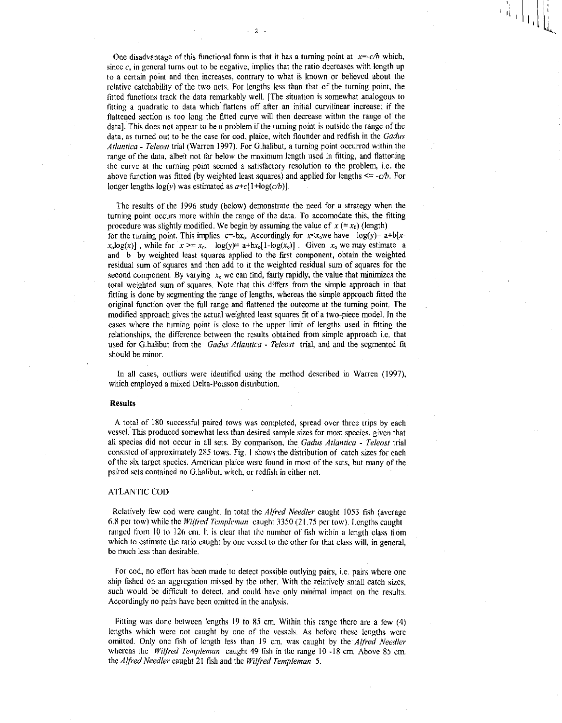One disadvantage of this functional form is that it has a turning point at  $x=-c/b$  which, since  $c$ , in general turns out to be negative, implies that the ratio decreases with length up to a certain point and then increases, contrary to what is known or believed about the relative catchability of the two nets. For lengths less than that of the turning point, the fitted functions track the data remarkably well. [The situation is somewhat analogous to fitting a quadratic to data which flattens off after an initial curvilinear increase; if the flattened section is too long the fitted curve will then decrease within the range of the data]. This does not appear to be a problem if the turning point is outside the range of the data, as turned out to be the case for cod, plaice, witch flounder and redfish in the *Gadus*  Atlantica - Teleost trial (Warren 1997). For G.halibut, a turning point occurred within the range of the data, albeit not far below the maximum length used in fitting, and flattening the curve at the turning point seemed a satisfactory resolution to the problem, i.e. the above function was fitted (by weighted least squares) and applied for lengths  $\leq -c/b$ . For longer lengths  $log(y)$  was estimated as  $a+c[1+log(c/b)]$ .

2

The results of the 1996 study (below) demonstrate the need for a strategy when the turning point occurs more within the range of the data. To accomodate this, the fitting procedure was slightly modified. We begin by assuming the value of  $x (= x_0)$  (length) for the turning point. This implies  $c=-bx_0$ . Accordingly for  $x \le x_0$ we have  $log(y)= a+b[x$  $x_0 \log(x)$ , while for  $x \ge x_0$ ,  $\log(y) = a + bx_0[1 - \log(x_0)]$ . Given  $x_0$  we may estimate a and b by weighted least squares applied to the first component, obtain the weighted residual sum of squares and then add to it the weighted residual sum of squares for the second component. By varying  $x<sub>o</sub>$  we can find, fairly rapidly, the value that minimizes the total weighted sum of squares. Note that this differs from the simple approach in that fitting is done by segmenting the range of lengths, whereas the simple approach fitted the original function over the full range and flattened the outcome at the turning point. The modified approach gives the actual weighted least squares fit of a two-piece model. In the cases where the turning point is close to the upper limit of lengths used in fitting the relationships, the difference between the results obtained from simple approach i.e. that used for G.halibut from the *Gadus Atlantica - Teleost* trial, and and the segmented fit should be minor.

In all cases, outliers were identified using the method described in Warren (1997), which employed a mixed Delta-Poisson distribution.

#### Results

A total of 180 successful paired tows was completed, spread over three trips by each vessel. This produced somewhat less than desired sample sizes for most species, given that all species did not occur in all sets. By comparison, the *Gadus Atlantica - Teleost* trial consisted of approximately 285 tows. Fig. I shows the distribution of catch sizes for each of the six target species. American plaice were found in most of the sets, but many of the paired sets contained no G.halibut, witch, or redfish in either net.

#### ATLANTIC COD

Relatively few cod were caught. In total the *Alfred Needier* caught 1053 fish (average 6.8 per tow) while the *Wilfred Templeman* caught 3350 (21.75 per tow). Lengths caught ranged from 10 to 126 cm. It is clear that the number of fish within a length class from which to estimate the ratio caught by one vessel to the other for that class will, in general, be much less than desirable.

For cod, no effort has been made to detect possible outlying pairs, i.e. pairs where one ship fished on an aggregation missed by the other. With the relatively small catch sizes, such would be difficult to detect, and could have only minimal impact on the results. Accordingly no pairs have been omitted in the analysis.

Fitting was done between lengths 19 to 85 cm. Within this range there are a few (4) lengths which were not caught by one of the vessels. As before these lengths were omitted. Only one fish of length less than 19 cm. was caught by the *Alfred Needier*  whereas the *Wilfred Templeman* caught 49 fish in the range 10 -18 cm. Above 85 cm. the *Alfred Needier* caught 21 fish and the *Wilfred Templeman 5.*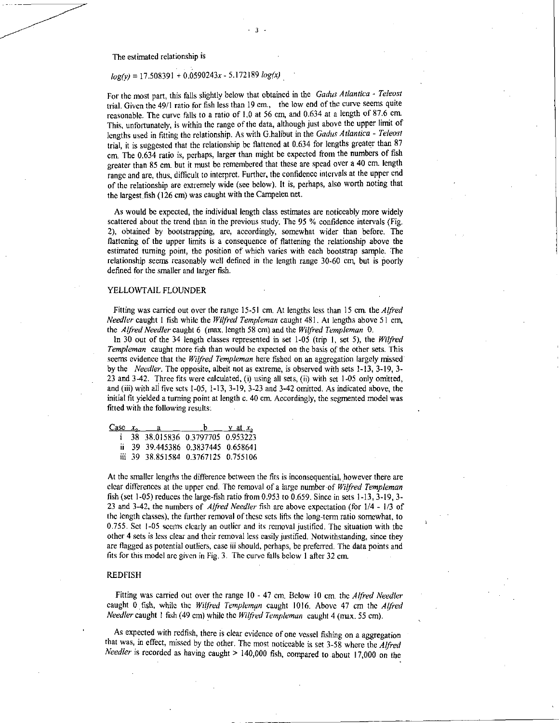The estimated relationship is

# *log(y)* = 17.508391 + 0.0590243x - 5.172189 *log(x)*

For the most part, this falls slightly below that obtained in the *Gadus Atlantica - Teleost*  trial. Given the 49/1 ratio for fish less than 19 cm., the low end of the curve seems quite reasonable. The curve falls to a ratio of 1.0 at 56 cm, and 0.634 at a length of 87.6 cm. This, unfortunately, is within the range of the data, although just above the upper limit of lengths used in fitting the relationship. As with G.halibut in the *Gadus Atlantica - Teleost trial,* it is suggested that the relationship be flattened at 0.634 for lengths greater than 87 cm. The 0.634 ratio is, perhaps, larger than might be expected from the numbers of fish greater than 85 cm. but it must be remembered that these are spead over a 40 cm. length range and are, thus, difficult to interpret. Further, the confidence intervals at the upper end of the relationship are extremely wide (see below). It is, perhaps, also worth noting that the largest fish (126 cm) was caught with the Campelen net.

3

As would be expected, the individual length class estimates are noticeably more widely scattered about the trend than in the previous study. The 95 % confidence intervals (Fig. 2), obtained by bootstrapping, are, accordingly, somewhat wider than before. The flattening of the upper limits is a consequence of flattening the relationship above the estimated turning point, the position of which varies with each bootstrap sample. The relationship seems reasonably well defined in the length range 30-60 cm, but is poorly defined for the smaller and larger fish.

#### YELLOWTAIL FLOUNDER

Fitting was carried out over the range 15-51 cm. At lengths less than 15 cm. the *Alfred Needier* caught 1 fish while the *Wilfred Templeman* caught 481. At lengths above 51 cm, the *Alfred Needier* caught 6 (max. length 58 cm) and the *Wilfred Templeman* 0.

In 30 out of the 34 length classes represented in set 1-05 (trip I, set 5), the *Wilfred Templeman* caught more fish than would be expected on the basis of the other sets. This seems evidence that the *Wilfred Templeman* here fished on an aggregation largely missed' by the *Needier.* The oppoSite, albeit not as extreme, is observed with sets 1-13, 3-19, 3- 23 and 342. Three fits were calculated, (i) using all sets, (ii) with set 1-05 only omitted, and (iii) with all five sets 1-05, 1-13, 3-19, 3-23 and 3-42 omitted. As indicated above, the initial fit yielded a turning point at length c. 40 cm. Accordingly, the segmented model was fitted with the following results:

|  | Case $x_{\alpha} = a$               | $\mathbf{b}$ y at $x_{\circ}$ |  |
|--|-------------------------------------|-------------------------------|--|
|  | i 38 38.015836 0.3797705 0.953223   |                               |  |
|  | ii 39 39.445386 0.3837445 0.658641  |                               |  |
|  | iii 39 38.851584 0.3767125 0.755106 |                               |  |

At the smaller lengths the difference between the fits is inconsequential, however there are clear differences at the upper end. The removal of a large number of *Wilfred Templeman*  fish (set 1-05) reduces the large-fish ratio from 0.953 to 0.659. Since in sets 1-13, 3-19, 3- 23 and 3-42, the numbers of *Alfred Needler* fish are above expectation (for 1/4 - 1/3 of the length classes), the further removal of these sets lifts the long-term ratio somewhat, to 0.755. Set I-05 seems clearly an outlier and its removal justified. The situation with the other 4 sets is less clear and their removal less easily justified. Notwithstanding, since they are flagged as potential outliers, case iii should, perhaps, be preferred. The data points and fits for this model are given in Fig. 3. The curve falls below 1 after 32 cm.

#### REDFISH

Fitting was carried out over the range 10 - 47 cm. Below 10 cm. the *Alfred Needler*  caught 0 fish, while the *Wilfred Templeman* caught 1016. Above 47 cm the *Alfred Needler* caught 1 fish (49 cm) while the *Wilfred Templeman* caught 4 (max. 55 cm).

As expected with redfish, there is clear evidence of one vessel fishing on a aggregation that was, in effect, missed by the other. The most noticeable is set 3-58 where the *Alfred Needler* is recorded as having caught > 140,000 fish, compared to about 17,000 on the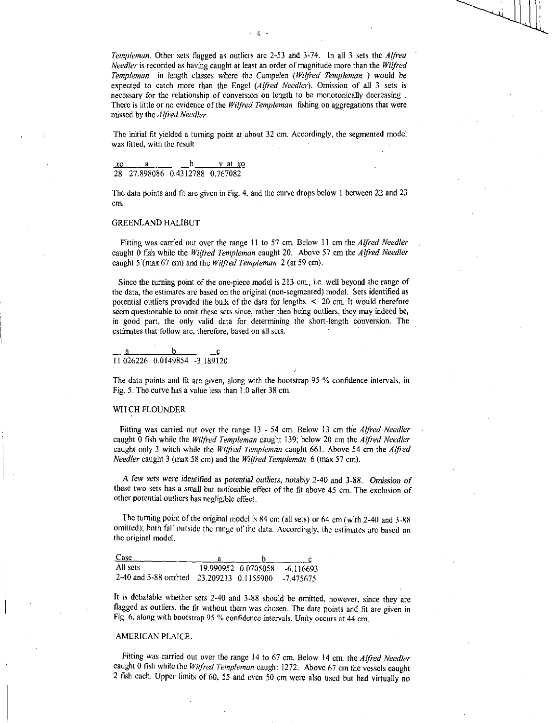*Templeman.* Other sets flagged as outliers are 2-53 and 3-74. In all 3 sets the *Alfred Needier* is recorded as having caught at least an order of magnitude more than the *Wilfred Templeman* in length classes where the Campelen *(Wafted Templeman ) would be*  expected to catch more than the Engel *(Alfred Needier).* Omission of all 3 sets is necessary for the relationship of conversion on length to be monotonically decreasing . There is little or no evidence of the *Wilfred Templeman* fishing on aggregations that were missed by the *Alfred Needier.* 

4

The initial fit yielded a turning point at about 32 cm. Accordingly, the segmented model was fitted, with the result

#### xo a b y at xo 28 27.898086 0.4312788 0.767082

The data points and fit are given in Fig. 4, and the curve drops below I between 22 and 23 cm.

#### GREENLAND HALIBUT

Fitting was carried out over the range 11 to 57 cm. Below 11 cm the *Alfred Needier*  caught 0 fish while the *Wilfred Templeman caught* 20. Above 57 cm the *Alfred Needier*  caught 5 (max 67 cm) and the *Wilfred Templeman* 2 (at 59 cm).

Since the turning point of the one-piece model is 213 cm., i.e. well beyond the range of the data, the estimates are based on the original (non-segmented) model. Sets identified as potential outliers provided the bulk of the data for lengths < 20 cm. It would therefore seem questionable to omit these sets since, rather then being outliers, they may indeed be, in good part, the only valid data for determining the short-length conversion. The estimates that follow are, therefore, based on all sets.

a 11.026226 0.0149854 -3.189120

The data points and fit are given, along with the bootstrap 95 % confidence intervals, in Fig. 5. The curve has a value less than 1.0 after 38 cm.

#### WITCH FLOUNDER

Fitting was carried out over the range 13 - 54 cm. Below 13 cm the *Alfred Needier*  caught 0 fish while the *Wilfred Templeman* caught 139; below 20 cm the *Alfred Needles*  caught only 3 witch while the *Wilfred Templeman caught 661.* Above 54 cm the *Alfred Needier* caught 3 (max 58 cm) and the *Wilfred Templeman* 6 (max 57 cm).

A few *sets were identified as potential outliers, notably 2-40 and* 3-88. *Omiskion of*  these two sets has a small but noticeable effect of the fit above 45 cm. The exclusion of other potential outliers has negligible effect.

The turning point of the original model is 84 cm (all sets) or 64 cm (with 2-40 and 3-88 omitted); both fall outside the range of the data. Accordingly, the estimates are based on the original model.

| Case                                                |  |                               |
|-----------------------------------------------------|--|-------------------------------|
| All sets                                            |  | 19.990952 0.0705058 -6.116693 |
| 2-40 and 3-88 omitted 23.209213 0.1155900 -7.475675 |  |                               |

It is debatable whether sets 2-40 and 3-88 should be omitted, however, since they are flagged as outliers, the fit without them was chosen. The data points and fit are given in Fig. 6, along with bootstrap 95 % confidence intervals. Unity occurs at 44 cm.

#### AMERICAN PLAICE.

Fitting was carried out over the range 14 to 67 cm. Below 14 cm. the *Alfred Needier*  caught 0 fish while the *Wilfred Templeman caught 1272.* Above 67 cm the vessels caught 2 fish each. Upper limits of 60, 55 and even 50 cm were also used but had virtually no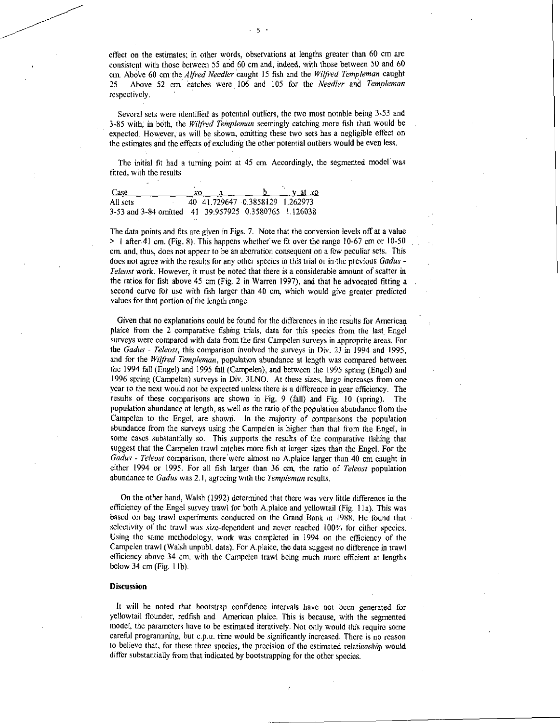effect on the estimates; in other words, observations at lengths greater than 60 cm are consistent with those between 55 and 60 cm and, indeed, with those between 50 and 60 cm. Above 60 cm the Alfred Needler caught 15 fish and the *Wilfred Templeman* caught 25. Above 52 cm, catches were 106 and 105 for the *Needler* and *Templeman*  respectively.

Several sets were identified as potential outliers, the two most notable being 3-53 and 3-85 with; in bdth, the *Wilfred Templeman* seemingly catching more fish than would be expected. However, as will be shown, omitting these two sets has a negligible effect on the estimates and the effects of excluding' the other potential outliers would be even less.

The initial fit had a turning point at 45 cm. Accordingly, the segmented model was fitted, with the results

| Case                                                  | xo |                                 | $v$ at $x$ o |
|-------------------------------------------------------|----|---------------------------------|--------------|
| All sets                                              |    | 40 41.729647 0.3858129 1.262973 |              |
| 3-53 and 3-84 omitted 41 39.957925 0.3580765 1.126038 |    |                                 |              |

The data points and fits are given in Figs. 7. Note that the conversion levels off at a value > I after 41 cm. (Fig. 8). This happens whether we fit over the range 10-67 *cm* or 10-50 cm. and, thus, does not appear to be an aberration consequent on a few peculiar sets. This does not agree with the results for any other species in this trial or in the previous *Gadus - Teleost* work. However, it must be noted that there is a considerable amount of scatter in the ratios for fish above 45 cm (Fig. 2 in Warren 1997), and that he advocated fitting a second curve for use with fish larger than 40 cm, which would give greater predicted values for that portion of the length range.

Given that no explanations could be found for the differences in the results for American plaice from the 2 comparative fishing trials, data for this species from the last Engel surveys were compared with data from the first Campelen surveys in approprite areas. For the *Gadus* - *Teleost,* this comparison involved the surveys in Div. 2J in 1994 and 1995, and for the *Wilfred Templeman,* population abundance at length was compared between the 1994 fall (Engel) and 1995 fall (Campelen), and between the 1995 spring (Engel) and 1996 spring (Campelen) surveys in Div. 3LNO. At these sizes, large increases from one year to the next would not be expected unless there is a difference in gear efficiency. The results of these comparisons are shown in Fig. 9 (fall) and Fig. 10 (spring). The population abundance at length, as well as the ratio of the population abundance from the Campelen to the Engel, are shown. In the majority of comparisons the population abundance from the surveys using the Campelen is higher than that from the Engel, in some cases substantially so. This supports the results of the comparative fishing that suggest that the Campelen trawl catches more fish at larger sizes than the Engel. For the *Gadus - Teleost* comparison, there were almost no A.plaice larger than 40 cm caught in either 1994 or 1995. For all fish larger than 36 cm, the ratio of *Teleost* population abundance to *Gadus* was 2.1, agreeing with the *Templeman* results.

On the other hand, Walsh (1992) determined that there was very little difference in the efficiency of the Engel survey trawl for both A.plaice and yellowtail (Fig. 11a). This was based on bag trawl experiments conducted on the Grand Bank in 1988. He found that selectivity of the trawl was size-dependent and never reached 100% for either species. Using the same methodology, work was completed in 1994 on the efficiency of the Campelen trawl (Walsh unpubl. data). For A.plaice, the data suggest no difference in trawl efficiency above 34 cm, with the Campelen trawl being much more efficient at lengths below 34 cm (Fig. I lb).

#### **Discussion**

It will be noted that bootstrap confidence intervals have not been generated for yellowtail flounder, redfish and American plaice. This is because, with the segmented model, the parameters have to be estimated iteratively. Not only would this require some careful programming, but c.p.u. time would be significantly increased. There is no reason to believe that, for these three species, the precision of the estimated relationship would differ substantially from that indicated by bootstrapping for the other species.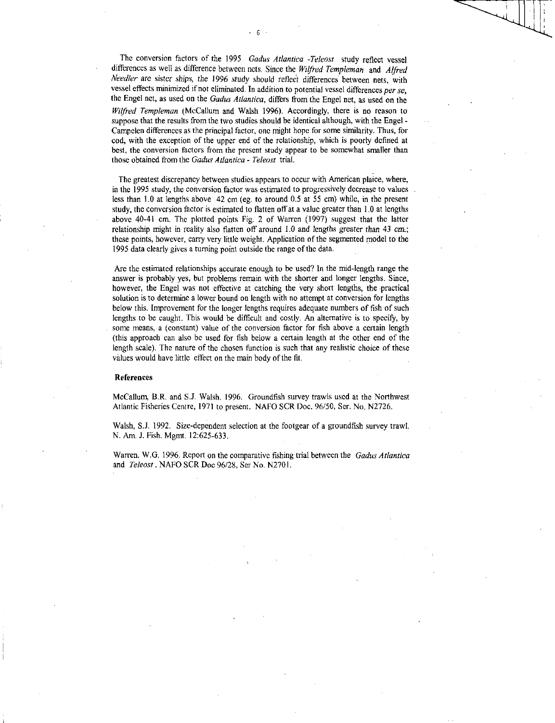The conversion factors of the 1995 *Gadus Atlantica -Teleost* study reflect vessel differences as well as difference between nets. Since the Wilfred Templeman and Alfred *Needier are sister ships, the* 1996 study should reflect differences between nets, with vessel effects minimized if not eliminated. In addition to potential vessel differences *per se,*  the Engel net, as used on the *Gadus Atlantica,* differs from the Engel net, as used on the *Wilfred Templeman* (McCallum and Walsh 1996). Accordingly, there is no reason to suppose that the results from the two studies should be identical although, with the Engel - Campelen differences as the principal factor, one might hope for some similarity. Thus, for cod, with the exception of the upper end of the relationship, which is poorly defined at best, the conversion factors from the present study appear to be somewhat smaller than those obtained from the *Gadus Atlantica - Teleost* trial.

The greatest discrepancy between studies appears to occur with American plaice, where, in the 1995 study, the conversion factor was estimated to progressively decrease to values less than 1.0 at lengths above 42 cm (eg. to around 0.5 at 55 cm) while, in the present study, the conversion factor is estimated to flatten off at a value greater than 1.0 at lengths above 40-41 cm. The plotted points Fig. 2 of Warren (1997) suggest that the latter relationship might in reality also flatten off around 1.0 and lengths greater than 43 cm.; these points, however, carry very little weight. Application of the segmented model to the 1995 data clearly gives a turning point outside the range of the data.

Are the estimated relationships accurate enough to be used? In the mid-length range the answer is probably yes, but problems remain with the shorter and longer lengths. Since, however, the Engel was not effective at catching the very short lengths, the practical solution is to determine a lower bound on length with no attempt at conversion for lengths below this. Improvement for the longer lengths requires adequate numbers of fish of such lengths to be caught. This would be difficult and costly. An alternative is to specify, by some means, a (constant) value of the conversion factor for fish above a certain length (this approach can also be used for fish below a certain length at the other end of the length scale). The nature of the chosen function is such that any realistic choice of these values would have little effect on the main body of the fit.

#### References

McCallum, B.A. and S.J. Walsh. 1996. Groundfish survey trawls used at the Northwest Atlantic Fisheries Centre, 1971 to present. NAFO SCR Doc. 96/50, Ser. No. N2726.

Walsh, S.J. 1992. Size-dependent selection at the footgear of a groundfish survey trawl. N. Am. J. Fish. Mgmt. 12:625-633.

Warren. W.G. 1996. Report on the comparative fishing trial between the *Gadus Atlantica*  and *Teleost .* NAFO SCR Doc 96/28, Ser No. N2701.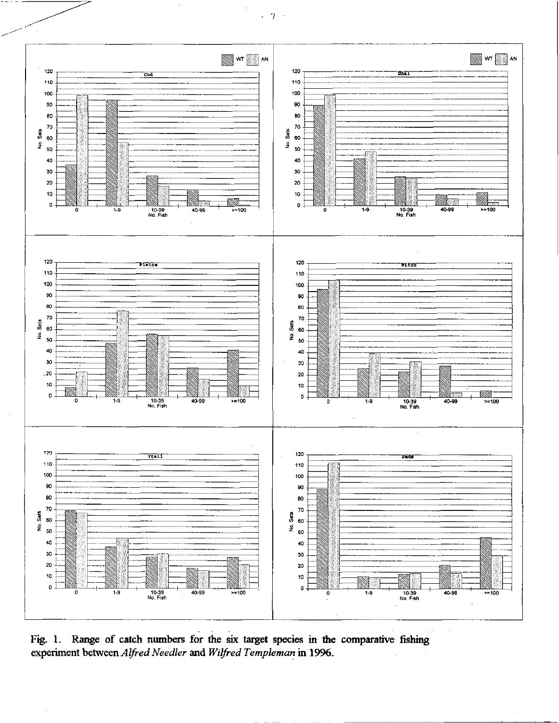

Fig. 1. Range of catch numbers for the six target species in the comparative fishing experiment between *Alfred Needier* and *Wilfred Templeman* in 1996.

 $-7 -$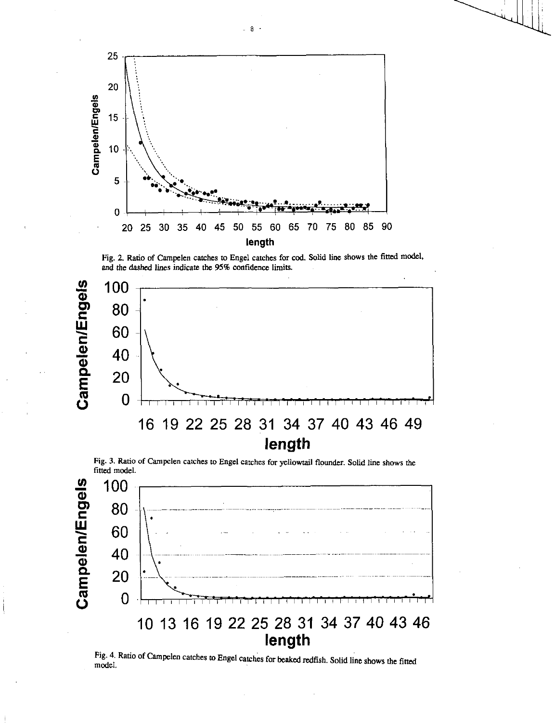

Fig. 2. Ratio of Campelen catches to Engel catches for cod. Solid line shows the fitted model, and the dashed lines indicate the 95% confidence limits.



Fig. 3. Ratio of Campelen catches to Engel catches for yellowtail flounder. Solid line shows the fitted model.



Fig. 4. Ratio of Campelen catches to Engel catches for beaked redfish. Solid line shows the fitted model.

 $-8$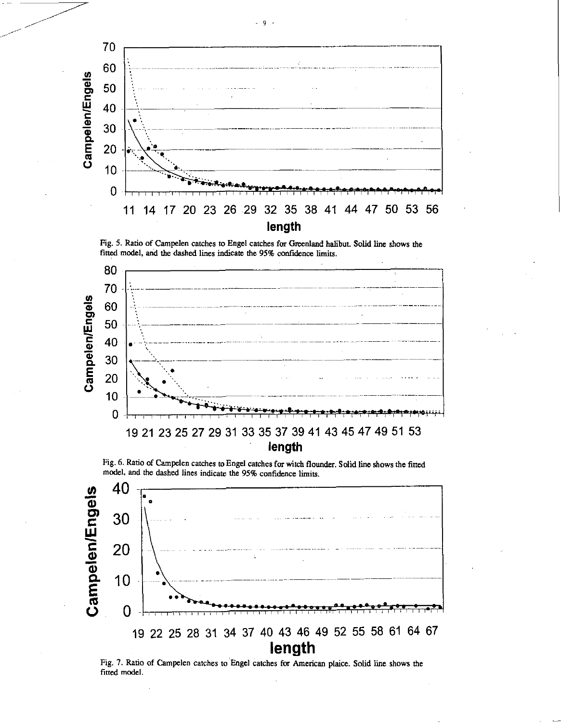





Fig. 6. Ratio of Campelen catches to Engel catches for witch flounder. Solid line shows the fitted model, and the dashed lines indicate the 95% confidence limits.



Fig. 7. Ratio of Campelen catches to Engel catches for American plaice. Solid line shows the fitted model.

9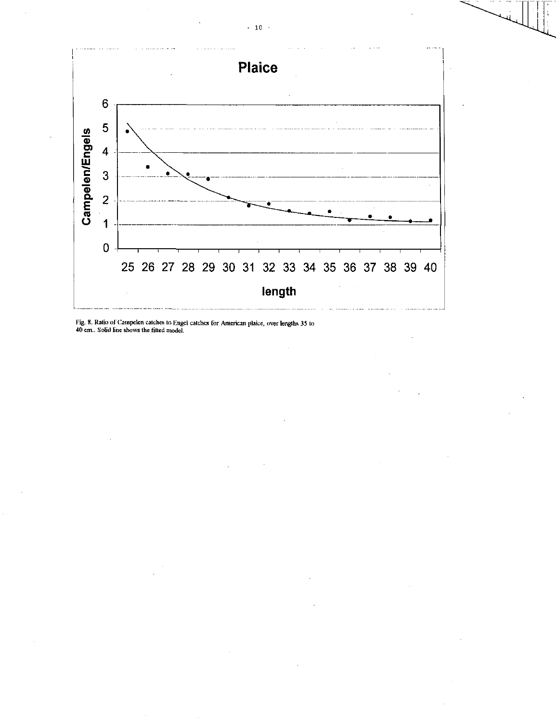

Fig. S. Ratio of Catnpelen catches to Engel catches for American plaice, over lengths 35 to 40 cm.. Solid line shows the fitted model.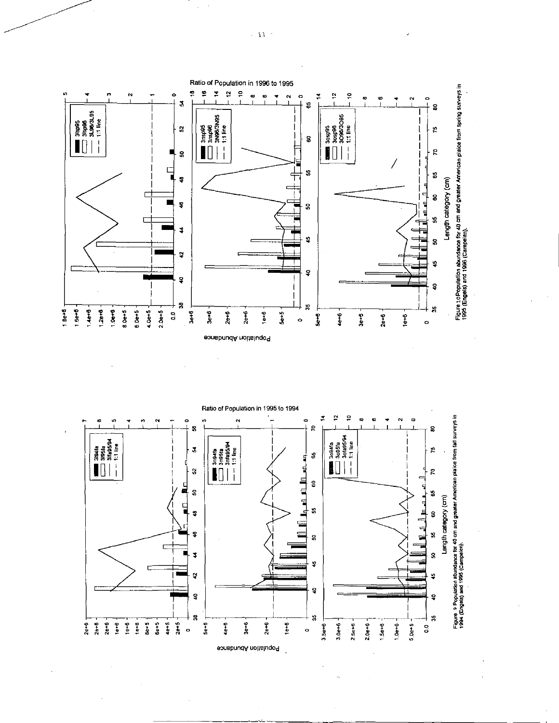



 $\sim 11^{-1}$ 

 $\bar{\gamma}$